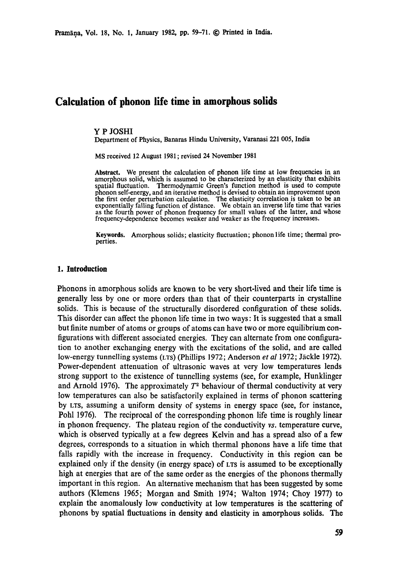# **Calculation of phonon life time in amorphous solids**

### **Y P JOSHI**

Department of Physics, Banaras Hindu University, Varanasi 221 005, India

MS received 12 August 1981 ; revised 24 November 1981

Abstract. We present the calculation of phonon life time at low frequencies in an amorphous solid, which is assumed to be characterized by an elasticity that exhibits spatial fluctuation. Thermodynamic Green's function method is used to compute phonon self-energy, and an iterative method is devised to obtain an improvement upon the first order perturbation calculation. The elasticity correlation is taken to be an exponentially falling function of distance. We obtain an inverse life time that varies as the fourth power of phonon frequency for small values of the latter, and whose frequency-dependence becomes weaker and weaker as the frequency increases.

Keywords. Amorphous solids; elasticity fluctuation; phonon life time; thermal properties.

### **1. Introduction**

Phonons in amorphous solids are known to be very short-lived and their life time is generally less by one or more orders than that of their counterparts in crystalline solids. This is because of the structurally disordered configuration of these solids. This disorder can affect the phonon life time in two ways: It is suggested that a small but finite number of atoms or groups of atoms can have two or more equilibrium configurations with different associated energies. They can alternate from one configuration to another exchanging energy with the excitations of the solid, and are called low-energy tunnelling systems (LTS) (Phillips 1972; Anderson *et al* 1972; Jäckle 1972). Power-dependent attenuation of ultrasonic waves at very low temperatures lends strong support to the existence of tunnelling systems (see, for example, Hunklinger and Arnold 1976). The approximately  $T<sup>2</sup>$  behaviour of thermal conductivity at very low temperatures can also be satisfactorily explained in terms of phonon scattering by LTS, assuming a uniform density of systems in energy space (see, for instance, Pohl 1976). The reciprocal of the corresponding phonon life time is roughly linear in phonon frequency. The plateau region of the conductivity vs. temperature curve, which is observed typically at a few degrees Kelvin and has a spread also of a few degrees, corresponds to a situation in which thermal phonons have a life time that falls rapidly with the increase in frequency. Conductivity in this region can be explained only if the density (in energy space) of LTS is assumed to be exceptionally high at energies that are of the same order as the energies of the phonons thermally important in this region. An alternative mechanism that has been suggested by some authors (Klemens 1965; Morgan and Smith 1974; Walton 1974; Choy 1977) to explain the anomalously low conductivity at low temperatures is the scattering of phonons by spatial fluctuations in density and elasticity in amorphous solids. The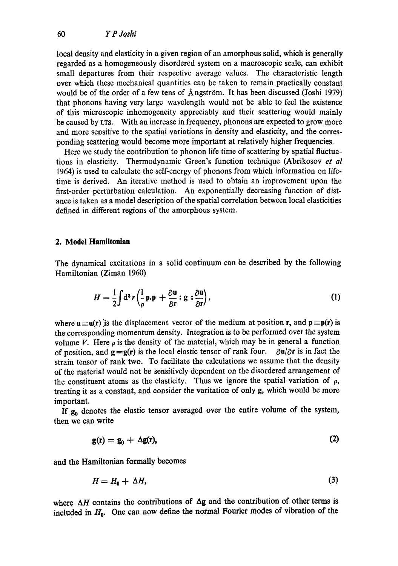local density and elasticity in a given region of an amorphous solid, which is generally regarded as a homogeneously disordered system on a macroscopic scale, can exhibit small departures from their respective average values. The characteristic length over which these mechanical quantities can be taken to remain practically constant would be of the order of a few tens of Angström. It has been discussed (Joshi 1979) that phonons having very large wavelength would not be able to feel the existence of this microscopic inhomogeneity appreciably and their scattering would mainly be caused by LTS. With an increase in frequency, phonons are expected to grow more and more sensitive to the spatial variations in density and elasticity, and the corresponding scattering would become more important at relatively higher frequencies..

Here we study the contribution to phonon life time of scattering by spatial fluctuations in elasticity. Thermodynamic Green's function technique (Abrikosov *et al*  1964) is used to calculate the self-energy of phonons from which information on lifetime is derived. An iterative method is used to obtain an improvement upon the first-order perturbation calculation. An exponentially decreasing function of distance is taken as a model description of the spatial correlation between local elasticities defined in different regions of the amorphous system.

## **2. Model Hamiltonian**

The dynamical excitations in a solid continuum can be described by the following Hamiltonian (Ziman 1960)

$$
H = \frac{1}{2} \int d^3 r \left( \frac{1}{\rho} \mathbf{p} \cdot \mathbf{p} + \frac{\partial \mathbf{u}}{\partial \mathbf{r}} : \mathbf{g} : \frac{\partial \mathbf{u}}{\partial \mathbf{r}} \right), \tag{1}
$$

where  $\mathbf{u} = \mathbf{u}(\mathbf{r})$  is the displacement vector of the medium at position **r**, and  $\mathbf{p} = \mathbf{p}(\mathbf{r})$  is the corresponding momentum density. Integration is to be performed over the system volume V. Here  $\rho$  is the density of the material, which may be in general a function of position, and  $g = g(r)$  is the local elastic tensor of rank four.  $\partial u/\partial r$  is in fact the strain tensor of rank two. To facilitate the calculations we assume that the density of the material would not be sensitively dependent on the disordered arrangement of the constituent atoms as the elasticity. Thus we ignore the spatial variation of  $\rho$ , treating it as a constant, and consider the varitation of only g, which would be more important.

If  $g_0$  denotes the elastic tensor averaged over the entire volume of the system, then we can write

$$
g(r) = g_0 + \Delta g(r), \qquad (2)
$$

and the Hamiltonian formally becomes

$$
H = H_0 + \Delta H,\tag{3}
$$

where  $\Delta H$  contains the contributions of  $\Delta g$  and the contribution of other terms is included in  $H_0$ . One can now define the normal Fourier modes of vibration of the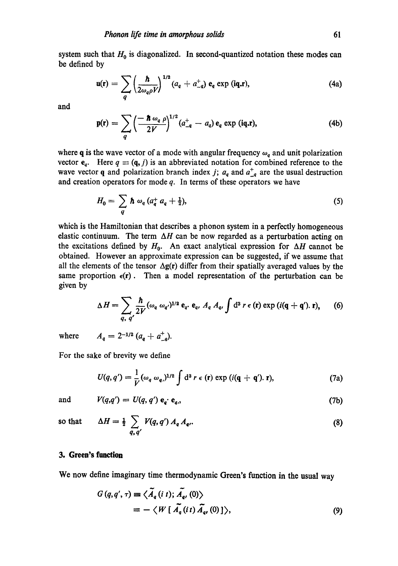system such that  $H_0$  is diagonalized. In second-quantized notation these modes can be defined by

$$
\mathbf{u}(\mathbf{r}) = \sum_{q} \left( \frac{\hbar}{2\omega_{q}\rho V} \right)^{1/2} (a_{q} + a_{-q}^{+}) \mathbf{e}_{q} \exp\left(i\mathbf{q}.\mathbf{r}\right), \tag{4a}
$$

and

$$
\mathbf{p}(\mathbf{r}) = \sum_{q} \left( \frac{-\hbar \omega_q \rho}{2V} \right)^{1/2} (a_{-q}^+ - a_q) \mathbf{e}_q \exp(i\mathbf{q}.\mathbf{r}), \tag{4b}
$$

where q is the wave vector of a mode with angular frequency  $\omega_q$  and unit polarization vector  $e_q$ . Here  $q \equiv (q, j)$  is an abbreviated notation for combined reference to the wave vector q and polarization branch index j;  $a_q$  and  $a_{-q}^+$  are the usual destruction and creation operators for mode  $q$ . In terms of these operators we have

$$
H_0 = \sum_q \hbar \omega_q (a_q^+ a_q + \tfrac{1}{2}), \qquad (5)
$$

which is the Hamiltonian that describes a phonon system in a perfectly homogeneous elastic continuum. The term  $\Delta H$  can be now regarded as a perturbation acting on the excitations defined by  $H_0$ . An exact analytical expression for  $\Delta H$  cannot be obtained. However an approximate expression can be suggested, if we assume that all the elements of the tensor  $\Delta g(r)$  differ from their spatially averaged values by the same proportion  $\epsilon(r)$ . Then a model representation of the perturbation can be given by

$$
\Delta H = \sum_{q, q'} \frac{\hbar}{2V} (\omega_q \omega_{q'})^{1/2} \mathbf{e}_q \mathbf{e}_q, A_q A_{q'} \int d^3 r \mathbf{e}(\mathbf{r}) \exp(i(\mathbf{q} + \mathbf{q}'). \mathbf{r}), \qquad (6)
$$

where

$$
A_q = 2^{-1/2} (a_q + a_{-q}^+)
$$

For the sake of brevity we define

$$
U(q,q')=\frac{1}{V}(\omega_q \omega_q)^{1/2}\int d^3 r \epsilon(\mathbf{r}) \exp(i(\mathbf{q}+\mathbf{q}').\mathbf{r}), \qquad (7a)
$$

and 
$$
V(q,q') = U(q,q') \mathbf{e}_q \cdot \mathbf{e}_q,
$$
 (7b)

so that 
$$
\Delta H = \frac{1}{2} \sum_{q, q'} V(q, q') A_q A_{q'}.
$$
 (8)

## **3. Green's function**

We now define imaginary time thermodynamic Green's function in the usual way

$$
G(q,q',\tau) \equiv \langle \widetilde{A}_q(i\ t); \widetilde{A}_{q'}(0) \rangle
$$
  
= - \langle W[\widetilde{A}\_q(i\ t) \widetilde{A}\_{q'}(0)] \rangle, (9)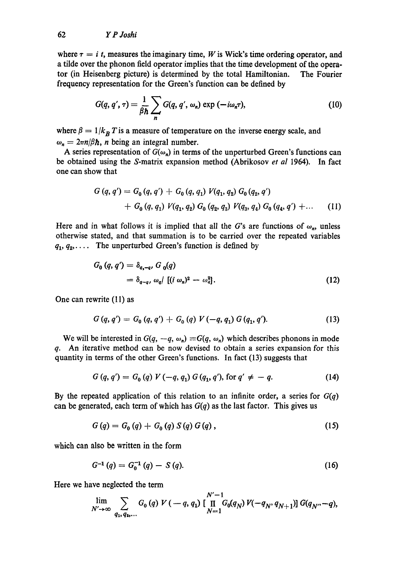where  $\tau = i$  t, measures the imaginary time, W is Wick's time ordering operator, and a tilde over the phonon field operator implies that the time development of the operator (in Heisenberg picture) is determined by the total Hamiltonian. The Fourier frequency representation for the Green's function can be defined by

$$
G(q, q', \tau) = \frac{1}{\beta \hbar} \sum_{n} G(q, q', \omega_n) \exp(-i\omega_n \tau), \qquad (10)
$$

where  $\beta = 1/k_B T$  is a measure of temperature on the inverse energy scale, and  $\omega_n = 2\pi n/\beta \hbar$ , *n* being an integral number.

A series representation of  $G(\omega_n)$  in terms of the unperturbed Green's functions can be obtained using the S-matrix expansion method (Abrikosov *et al* 1964). In fact one can show that

$$
G(q, q') = G_0(q, q') + G_0(q, q_1) V(q_1, q_2) G_0(q_2, q') + G_0(q, q_1) V(q_1, q_2) G_0(q_2, q_3) V(q_3, q_4) G_0(q_4, q') + ... \t(11)
$$

Here and in what follows it is implied that all the G's are functions of  $\omega_n$ , unless otherwise stated, and that summation is to be carried over the repeated variables  $q_1, q_2, \ldots$  The unperturbed Green's function is defined by

$$
G_0(q, q') = \delta_{q, -q}, G_0(q)
$$
  
=  $\delta_{q-q}, \omega_q / [(i \omega_n)^2 - \omega_q^2].$  (12)

One can rewrite (11) as

$$
G(q,q') = G_0(q,q') + G_0(q) V(-q,q_1) G(q_1,q'). \qquad (13)
$$

We will be interested in  $G(q, -q, \omega_n) \equiv G(q, \omega_n)$  which describes phonons in mode q. An iterative method can be now devised to obtain a series expansion for this quantity in terms of the other Green's functions. In fact (13) suggests that

$$
G(q, q') = G_0(q) V(-q, q_1) G(q_1, q'), \text{ for } q' \neq -q.
$$
 (14)

By the repeated application of this relation to an infinite order, a series for *G(q)*  can be generated, each term of which has  $G(q)$  as the last factor. This gives us

$$
G(q) = G_0(q) + G_0(q) S(q) G(q), \qquad (15)
$$

which can also be written in the form

$$
G^{-1}(q) = G_0^{-1}(q) - S(q). \tag{16}
$$

Here we have neglected the term

$$
\lim_{N'\to\infty}\sum_{q_1, q_2,...}G_0(q) V(-q, q_1) \left[\prod_{N=1}^{N'-1}G_0(q_N) V(-q_N, q_{N+1})\right]G(q_{N'}-q),
$$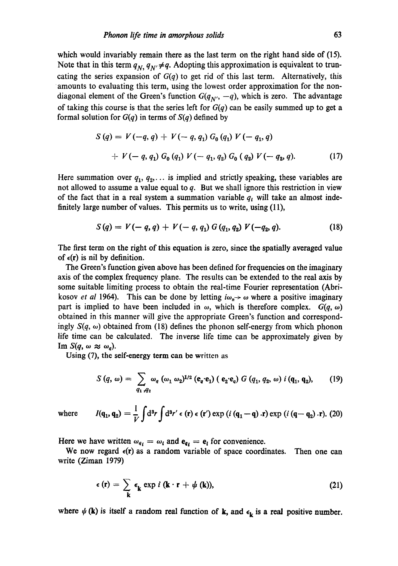which would invariably remain there as the last term on the right hand side of (15). Note that in this term  $q_N$ ,  $q_{N'} \neq q$ . Adopting this approximation is equivalent to truncating the series expansion of *G(q)* to get rid of this last term. Alternatively, this amounts to evaluating this term, using the lowest order approximation for the nondiagonal element of the Green's function  $G(q_{N'}, -q)$ , which is zero. The advantage of taking this course is that the series left for *G(q)* can be easily summed up to get a formal solution for *G(q)* in terms of *S(q)* defined by

$$
S(q) = V(-q, q) + V(-q, q_1) G_0(q_1) V(-q_1, q)
$$
  
+ 
$$
V(-q, q_1) G_0(q_1) V(-q_1, q_2) G_0(q_2) V(-q_2, q).
$$
 (17)

Here summation over  $q_1, q_2, \ldots$  is implied and strictly speaking, these variables are not allowed to assume a value equal to  $q$ . But we shall ignore this restriction in view of the fact that in a real system a summation variable  $q_t$  will take an almost indefinitely large number of values. This permits us to write, using (11),

$$
S(q) = V(-q, q) + V(-q, q_1) G(q_1, q_2) V(-q_2, q).
$$
 (18)

The first term on the right of this equation is zero, since the spatially averaged value of  $\epsilon(\mathbf{r})$  is nil by definition.

The Green's function given above has been defined for frequencies on the imaginary axis of the complex frequency plane. The results can be extended to the real axis by some suitable limiting process to obtain the real-time Fourier representation (Abrikosov *et al* 1964). This can be done by letting  $i\omega_n \rightarrow \omega$  where a positive imaginary part is implied to have been included in  $\omega$ , which is therefore complex.  $G(q, \omega)$ obtained in this manner will give the appropriate Green's function and correspondingly  $S(q, \omega)$  obtained from (18) defines the phonon self-energy from which phonon life time can be calculated. The inverse life time can be approximately given by Im  $S(q, \omega \approx \omega_q)$ .

Using (7), the self-energy term can be written as

$$
S(q, \omega) = \sum_{q_1, q_2} \omega_q (\omega_1 \omega_2)^{1/2} (e_q \cdot e_1) (e_2 \cdot e_q) G(q_1, q_2, \omega) i(q_1, q_2), \qquad (19)
$$

where 
$$
I(\mathbf{q}_1, \mathbf{q}_2) = \frac{1}{V} \int d^3 r \int d^3 r' \epsilon(\mathbf{r}) \epsilon(\mathbf{r}') \exp(i(\mathbf{q}_1 - \mathbf{q}) \cdot \mathbf{r}) \exp(i(\mathbf{q} - \mathbf{q}_2) \cdot \mathbf{r}).
$$
 (20)

Here we have written  $\omega_{q_i} = \omega_i$  and  $e_{q_i} = e_i$  for convenience.

We now regard  $\epsilon(r)$  as a random variable of space coordinates. Then one can write (Ziman 1979)

$$
\epsilon(r) = \sum_{\mathbf{k}} \epsilon_{\mathbf{k}} \exp i (\mathbf{k} \cdot \mathbf{r} + \psi(\mathbf{k})), \tag{21}
$$

where  $\psi$  (k) is itself a random real function of k, and  $\epsilon_k$  is a real positive number.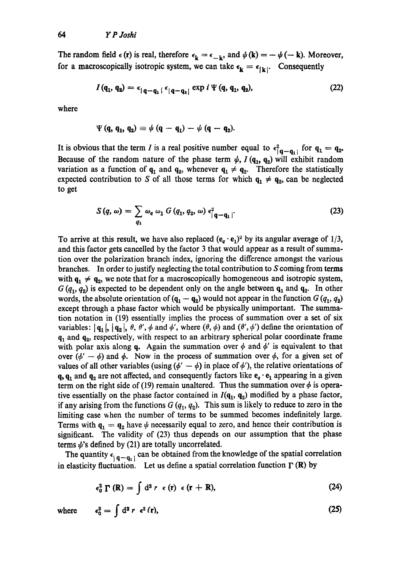The random field  $\epsilon(\mathbf{r})$  is real, therefore  $\epsilon_{\mathbf{k}} = \epsilon_{-\mathbf{k}}$ , and  $\psi(\mathbf{k}) = -\psi(-\mathbf{k})$ . Moreover, for a macroscopically isotropic system, we can take  $\epsilon_{\mathbf{k}} = \epsilon_{\mathbf{k} \mathbf{k}}$ . Consequently

$$
I(q_1, q_2) = \epsilon_{\vert q-q_1 \vert} \epsilon_{\vert q-q_2 \vert} \exp i \Psi(q, q_1, q_2), \qquad (22)
$$

where

$$
\Psi(q, q_1, q_2) \equiv \psi(q - q_1) - \psi(q - q_2).
$$

It is obvious that the term I is a real positive number equal to  $\epsilon_{\mathbf{q}-\mathbf{q}_1}^2$  for  $\mathbf{q}_1 = \mathbf{q}_2$ . Because of the random nature of the phase term  $\psi$ ,  $I(q_1, q_2)$  will exhibit random variation as a function of  $q_1$  and  $q_2$ , whenever  $q_1 \neq q_2$ . Therefore the statistically expected contribution to S of all those terms for which  $q_1 \neq q_2$ , can be neglected to get

$$
S(q,\omega)=\sum_{q_1}\omega_q\omega_1\ G(q_1,q_2,\omega)\ \epsilon_{|q-q_1|}^2.
$$
 (23)

To arrive at this result, we have also replaced  $(e_q \cdot e_1)^2$  by its angular average of  $1/3$ , and this factor gets cancelled by the factor 3 that would appear as a result of summation over the polarization branch index, ignoring the difference amongst the various branches. In order to justify neglecting the total contribution to S coming from terms with  $q_1 \neq q_2$ , we note that for a macroscopically homogeneous and isotropic system,  $G(q_1, q_2)$  is expected to be dependent only on the angle between  $q_1$  and  $q_2$ . In other words, the absolute orientation of  $(q_1 - q_2)$  would not appear in the function  $G(q_1, q_2)$ except through a phase factor which would be physically unimportant. The summation notation in (19) essentially implies the process of summation over a set of six variables:  $| \mathbf{q}_1 |, | \mathbf{q}_2 |, \theta, \theta', \phi \text{ and } \phi', \text{ where } (\theta, \phi) \text{ and } (\theta', \phi') \text{ define the orientation of }$  $q_1$  and  $q_2$ , respectively, with respect to an arbitrary spherical polar coordinate frame with polar axis along q. Again the summation over  $\phi$  and  $\phi'$  is equivalent to that over  $(\phi'-\phi)$  and  $\phi$ . Now in the process of summation over  $\phi$ , for a given set of values of all other variables (using  $(\phi' - \phi)$  in place of  $\phi'$ ), the relative orientations of  $q, q_1$  and  $q_2$  are not affected, and consequently factors like  $e_q \cdot e_1$  appearing in a given term on the right side of (19) remain unaltered. Thus the summation over  $\phi$  is operative essentially on the phase factor contained in  $I(q_1, q_2)$  modified by a phase factor, if any arising from the functions  $G(q_1, q_2)$ . This sum is likely to reduce to zero in the limiting case when the number of terms to be summed becomes indefinitely large. Terms with  $q_1 = q_2$  have  $\psi$  necessarily equal to zero, and hence their contribution is significant. The validity of (23) thus depends on our assumption that the phase terms  $\psi$ 's defined by (21) are totally uncorrelated.

The quantity  $\epsilon_{\text{1}} q - q_1$  can be obtained from the knowledge of the spatial correlation in elasticity fluctuation. Let us define a spatial correlation function  $\Gamma$  (R) by

$$
\epsilon_0^2 \Gamma(R) = \int d^3 r \epsilon(r) \epsilon(r+R), \qquad (24)
$$

$$
\epsilon_0^2 = \int d^3 r \ \epsilon^2(r), \tag{25}
$$

**where**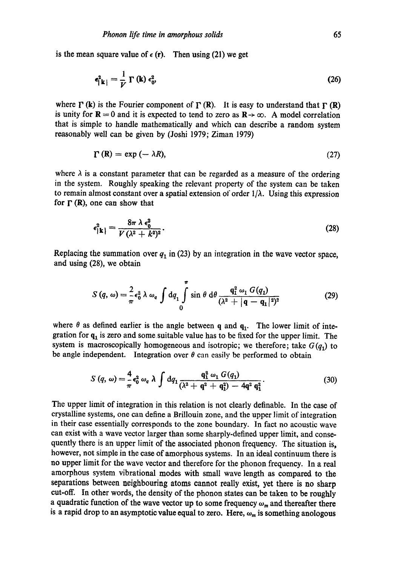is the mean square value of  $\epsilon$  (r). Then using (21) we get

$$
\epsilon_{\parallel \mathbf{k}\parallel}^{2} = \frac{1}{V} \Gamma(\mathbf{k}) \epsilon_{0}^{2}, \tag{26}
$$

where  $\Gamma$  (k) is the Fourier component of  $\Gamma$  (R). It is easy to understand that  $\Gamma$  (R) is unity for  $\mathbf{R} = 0$  and it is expected to tend to zero as  $\mathbf{R} \rightarrow \infty$ . A model correlation that is simple to handle mathematically and which can describe a random system reasonably well can be given by (Joshi 1979; Ziman 1979)

$$
\Gamma(R) = \exp(-\lambda R), \tag{27}
$$

where  $\lambda$  is a constant parameter that can be regarded as a measure of the ordering in the system. Roughly speaking the relevant property of the system can be taken to remain almost constant over a spatial extension of order  $1/\lambda$ . Using this expression for  $\Gamma$  (R), one can show that

$$
\epsilon_{|\mathbf{k}|}^2 = \frac{8\pi\,\lambda\,\epsilon_0^2}{V\,(\lambda^2\,+\,k^2)^2}.\tag{28}
$$

Replacing the summation over  $q_1$  in (23) by an integration in the wave vector space, and using (28), we obtain

$$
S(q,\omega) = \frac{2}{\pi} \epsilon_0^2 \lambda \omega_q \int dq_1 \int_0^{\pi} \sin \theta \ d\theta \frac{q_1^2 \omega_1 G(q_1)}{(\lambda^2 + |q - q_1|^2)^2}
$$
(29)

where  $\theta$  as defined earlier is the angle between q and  $q_1$ . The lower limit of integration for  $q_1$  is zero and some suitable value has to be fixed for the upper limit. The system is macroscopically homogeneous and isotropic; we therefore; take  $G(q_1)$  to be angle independent. Integration over  $\theta$  can easily be performed to obtain

$$
S(q,\,\omega) = \frac{4}{\pi} \epsilon_0^2 \,\omega_q \,\lambda \int dq_1 \frac{q_1^2 \,\omega_1 \,G(q_1)}{(\lambda^2 + q^2 + q_1^2) - 4q^2 \,q_1^2}.
$$
 (30)

The upper limit of integration in this relation is not clearly definable. In the case of crystalline systems, one can define a Brillouin zone, and the upper limit of integration in their case essentially corresponds to the zone boundary. In fact no acoustic wave can exist with a wave vector larger than some sharply-defined upper limit, and consequently there is an upper limit of the associated phonon frequency. The situation is, however, not simple in the case of amorphous systems. In an ideal continuum there is no upper limit for the wave vector and therefore for the phonon frequency. In a real amorphous system vibrational modes with small wave length as compared to the separations between aeighbouring atoms cannot really exist, yet there is no sharp cut-off. In other words, the density of the phonon states can be taken to be roughly a quadratic function of the wave vector up to some frequency  $\omega_m$  and thereafter there is a rapid drop to an asymptotic value equal to zero. Here,  $\omega_m$  is something anologous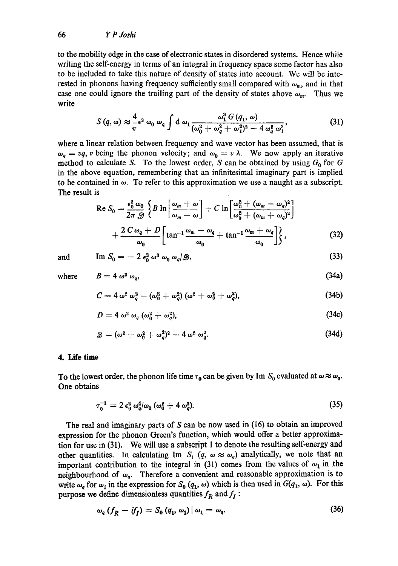to the mobility edge in the case of electronic states in disordered systems. Hence while writing the self-energy in terms of an integral in frequency space some factor has also to be included to take this nature of density of states into account. We will be interested in phonons having frequency sufficiently small compared with  $\omega_m$ , and in that case one could ignore the trailing part of the density of states above  $\omega_m$ . Thus we write

$$
S(q,\omega) \approx \frac{4}{\pi} \epsilon^2 \omega_0 \omega_4 \int d\omega_1 \frac{\omega_1^3 G(q_1,\omega)}{(\omega_0^2 + \omega_4^2 + \omega_1^2)^2 - 4\omega_q^2 \omega_1^2},
$$
(31)

where a linear relation between frequency and wave vector has been assumed, that is  $\omega_q = vq$ , v being the phonon velocity; and  $\omega_0 = v \lambda$ . We now apply an iterative method to calculate S. To the lowest order, S can be obtained by using  $G_0$  for G in the above equation, remembering that an infinitesimal imaginary part is implied to be contained in  $\omega$ . To refer to this approximation we use a naught as a subscript. The result is

$$
\operatorname{Re} S_0 = \frac{\epsilon_0^2 \omega_0}{2\pi \mathcal{D}} \left\{ B \ln \left[ \frac{\omega_m + \omega}{\omega_m - \omega} \right] + C \ln \left[ \frac{\omega_0^2 + (\omega_m - \omega_q)^2}{\omega_0^2 + (\omega_m + \omega_q)^2} \right] + \frac{2 C \omega_q + D}{\omega_0} \left[ \tan^{-1} \frac{\omega_m - \omega_q}{\omega_0} + \tan^{-1} \frac{\omega_m + \omega_q}{\omega_0} \right] \right\},\tag{32}
$$

and 
$$
\text{Im } S_0 = -2 \epsilon_0^2 \omega^3 \omega_0 \omega_q / \mathcal{D},
$$
 (33)

where  $B = 4 \omega^3 \omega$ 

$$
L \rightarrow \omega_{q}, \qquad (3.12)
$$

(34a)

$$
C=4\,\omega^2\,\omega_q^2-(\omega_0^2+\omega_q^2)\,(\omega^2+\omega_0^2+\omega_q^2),\qquad \qquad (34b)
$$

$$
D=4\,\omega^2\,\omega_q\,(\omega_0^2+\omega_q^2),\qquad \qquad (34c)
$$

$$
\mathscr{D} = (\omega^2 + \omega_0^2 + \omega_q^2)^2 - 4 \omega^2 \omega_q^2. \tag{34d}
$$

### **4. Life time**

To the lowest order, the phonon life time  $\tau_0$  can be given by Im  $S_0$  evaluated at  $\omega \approx \omega_q$ . One obtains

$$
\tau_0^{-1} = 2 \epsilon_0^2 \, \omega_q^4 / \omega_0 \, (\omega_0^2 + 4 \, \omega_q^2). \tag{35}
$$

The real and imaginary parts of S can be now used in (16) to obtain an improved expression for the phonon Green's function, which would offer a better approximation for use in (31). We will use a subscript 1 to denote the resulting self-energy and other quantities. In calculating Im  $S_1$   $(q, \omega \approx \omega_q)$  analytically, we note that an important contribution to the integral in (31) comes from the values of  $\omega_1$  in the neighbourhood of  $\omega_q$ . Therefore a convenient and reasonable approximation is to write  $\omega_q$  for  $\omega_1$  in the expression for  $S_0$  ( $q_1$ ,  $\omega$ ) which is then used in  $G(q_1, \omega)$ . For this purpose we define dimensionless quantities  $f_R$  and  $f_I$ :

$$
\omega_q \left( f_R - i f_I \right) = S_0 \left( q_1, \, \omega_1 \right) \left| \, \omega_1 = \omega_q. \right. \tag{36}
$$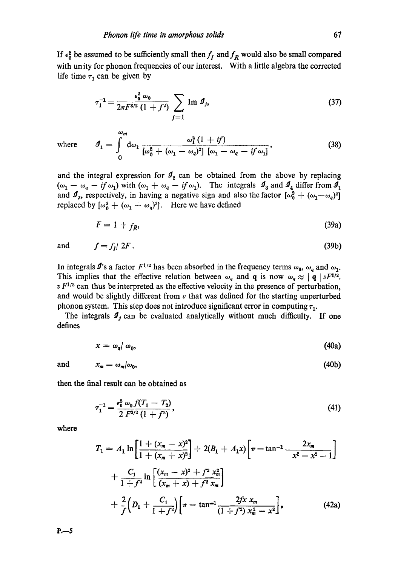If  $\epsilon_0^2$  be assumed to be sufficiently small then  $f_I$  and  $f_R$  would also be small compared with unity for phonon frequencies of our interest. With a little algebra the corrected life time  $\tau_1$  can be given by

$$
\tau_1^{-1} = \frac{\epsilon_0^2 \omega_0}{2\pi F^{3/2} (1+f^2)} \sum_{j=1} \text{Im } \mathcal{I}_j, \tag{37}
$$

where  $g_1 = \int d\omega_1 \frac{q_1 (1 + y)}{[\omega_1^2 + (\omega_2 - \omega_1)^2][\omega_2 - \omega_2 - i\omega_1]^2}$  (38) 0

and the integral expression for  $\mathcal{I}_2$  can be obtained from the above by replacing  $(\omega_1 - \omega_q - if \omega_1)$  with  $(\omega_1 + \omega_q - if \omega_1)$ . The integrals  $\mathcal{I}_3$  and  $\mathcal{I}_4$  differ from  $\mathcal{I}_1$ and  $\mathcal{I}_2$ , respectively, in having a negative sign and also the factor  $[\omega_0^2 + (\omega_1-\omega_2)^2]$ replaced by  $[\omega_0^2 + (\omega_1 + \omega_q)^2]$ . Here we have defined

$$
F = 1 + f_R, \tag{39a}
$$

and 
$$
f = f_1/2F
$$
. (39b)

In integrals  $\mathbf{J}'$ 's a factor  $F^{1/2}$  has been absorbed in the frequency terms  $\omega_0$ ,  $\omega_q$  and  $\omega_1$ . This implies that the effective relation between  $\omega_q$  and **q** is now  $\omega_q \approx |q| vF^{1/2}$ .  $v F^{1/2}$  can thus be interpreted as the effective velocity in the presence of perturbation, and would be slightly different from  $v$  that was defined for the starting unperturbed phonon system. This step does not introduce significant error in computing  $\tau_1$ .

The integrals  $\mathcal{I}_j$  can be evaluated analytically without much difficulty. If one defines

$$
x = \omega_q / \omega_0, \tag{40a}
$$

and  $x_m = \omega_m/\omega_0$ , (40b)

then the final result can be obtained as

 $\omega_m$ 

$$
\tau_1^{-1} = \frac{\epsilon_0^2 \omega_0 f(T_1 - T_2)}{2 F^{3/2} (1 + f^2)},\tag{41}
$$

where

$$
T_1 = A_1 \ln \left[ \frac{1 + (x_m - x)^2}{1 + (x_m + x)^2} \right] + 2(B_1 + A_1 x) \left[ \pi - \tan^{-1} \frac{2x_m}{x^2 - x^2 - 1} \right]
$$
  
+ 
$$
\frac{C_1}{1 + f^2} \ln \left[ \frac{(x_m - x)^2 + f^2 x_m^2}{(x_m + x) + f^2 x_m} \right]
$$
  
+ 
$$
\frac{2}{f} \left( D_1 + \frac{C_1}{1 + f^2} \right) \left[ \pi - \tan^{-1} \frac{2f x x_m}{(1 + f^2) x_m^2 - x^2} \right],
$$
(42a)

**P.--5**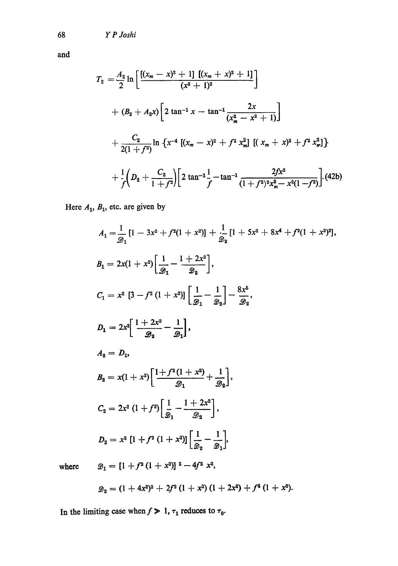and

68

$$
T_2 = \frac{A_2}{2} \ln \left[ \frac{[(x_m - x)^2 + 1] [(x_m + x)^2 + 1]}{(x^2 + 1)^2} \right]
$$
  
+  $(B_2 + A_2 x) \left[ 2 \tan^{-1} x - \tan^{-1} \frac{2x}{(x_m^2 - x^2 + 1)} \right]$   
+  $\frac{C_2}{2(1 + f^2)} \ln \left\{ x^{-4} [(x_m - x)^2 + f^2 x_m^2] [(x_m + x)^2 + f^2 x_m^2] \right\}$   
+  $\frac{1}{f} \left( D_2 + \frac{C_2}{1 + f^2} \right) \left[ 2 \tan^{-1} \frac{1}{f} - \tan^{-1} \frac{2f x^2}{(1 + f^2)^2 x_m^2 - x^2 (1 - f^2)} \right].$  (42b)

Here  $A_1$ ,  $B_1$ , etc. are given by

$$
A_{1} = \frac{1}{\mathcal{D}_{1}} \left[ 1 - 3x^{2} + f^{2}(1 + x^{2}) \right] + \frac{1}{\mathcal{D}_{2}} \left[ 1 + 5x^{2} + 8x^{4} + f^{2}(1 + x^{2})^{2} \right],
$$
\n
$$
B_{1} = 2x(1 + x^{2}) \left[ \frac{1}{\mathcal{D}_{1}} - \frac{1 + 2x^{2}}{\mathcal{D}_{2}} \right],
$$
\n
$$
C_{1} = x^{2} \left[ 3 - f^{2} \left( 1 + x^{2} \right) \right] \left[ \frac{1}{\mathcal{D}_{1}} - \frac{1}{\mathcal{D}_{2}} \right] - \frac{8x^{6}}{\mathcal{D}_{2}},
$$
\n
$$
D_{1} = 2x^{2} \left[ \frac{1 + 2x^{2}}{\mathcal{D}_{2}} - \frac{1}{\mathcal{D}_{1}} \right],
$$
\n
$$
A_{2} = D_{1},
$$
\n
$$
B_{2} = x(1 + x^{2}) \left[ \frac{1 + f^{2} \left( 1 + x^{2} \right)}{\mathcal{D}_{1}} + \frac{1}{\mathcal{D}_{2}} \right],
$$
\n
$$
C_{2} = 2x^{2} \left( 1 + f^{2} \right) \left[ \frac{1}{\mathcal{D}_{1}} - \frac{1 + 2x^{2}}{\mathcal{D}_{2}} \right],
$$
\n
$$
D_{2} = x^{2} \left[ 1 + f^{2} \left( 1 + x^{2} \right) \right] \left[ \frac{1}{\mathcal{D}_{2}} - \frac{1}{\mathcal{D}_{1}} \right],
$$
\n
$$
\mathcal{D}_{1} = \left[ 1 + f^{2} \left( 1 + x^{2} \right) \right]^{2} - 4f^{2} \left[ 2x^{2} \right],
$$

where

$$
\mathscr{D}_1 = [1 + f^2 (1 + x^2)]^2 - 4f^2 x^2,
$$

$$
\mathcal{D}_2 = (1 + 4x^2)^2 + 2f^2(1 + x^2)(1 + 2x^2) + f^4(1 + x^2).
$$

In the limiting case when  $f > 1$ ,  $\tau_1$  reduces to  $\tau_0$ .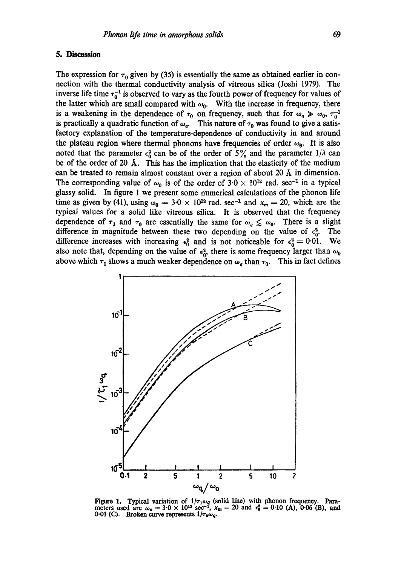### **5. Discussion**

The expression for  $\tau_0$  given by (35) is essentially the same as obtained earlier in connection with the thermal conductivity analysis of vitreous silica (Joshi 1979). The inverse life time  $\tau_0^{-1}$  is observed to vary as the fourth power of frequency for values of the latter which are small compared with  $\omega_0$ . With the increase in frequency, there is a weakening in the dependence of  $\tau_0$  on frequency, such that for  $\omega_q \gg \omega_0$ ,  $\tau_0^{-1}$ is practically a quadratic function of  $\omega_q$ . This nature of  $\tau_0$  was found to give a satisfactory explanation of the temperature-dependence of conductivity in and around the plateau region where thermal phonons have frequencies of order  $\omega_0$ . It is also noted that the parameter  $\epsilon_0^2$  can be of the order of 5% and the parameter  $1/\lambda$  can be of the order of 20  $\AA$ . This has the implication that the elasticity of the medium can be treated to remain almost constant over a region of about 20  $\AA$  in dimension. The corresponding value of  $\omega_0$  is of the order of  $3.0 \times 10^{12}$  rad. sec<sup>-1</sup> in a typical glassy solid. In figure 1 we present some numerical calculations of the phonon life time as given by (41), using  $\omega_0 = 3.0 \times 10^{12}$  rad. sec<sup>-1</sup> and  $x_m = 20$ , which are the typical values for a solid like vitreous silica. It is observed that the frequency dependence of  $\tau_1$  and  $\tau_0$  are essentially the same for  $\omega_q \leq \omega_q$ . There is a slight difference in magnitude between these two depending on the value of  $\epsilon_0^2$ . The difference increases with increasing  $\epsilon_0^2$  and is not noticeable for  $\epsilon_0^2 = 0.01$ . We also note that, depending on the value of  $\epsilon_0^2$ , there is some frequency larger than  $\omega_0$ above which  $\tau_1$  shows a much weaker dependence on  $\omega_q$  than  $\tau_0$ . This in fact defines



Figure 1. Typical variation of  $1/\tau_1\omega_q$  (solid line) with phonon frequency. Parameters used are  $\omega_0 = 3.0 \times 10^{13} \text{ sec}^{-1}$ ,  $x_m = 20$  and  $\epsilon_0^2 = 0.10$  (A), 0.06 (B), and  $0.01$  (C). Broken curve represents  $1/\tau_0 \omega_q$ .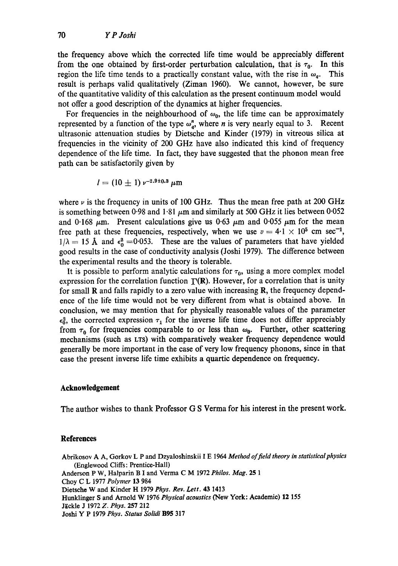the frequency above which the corrected life time would be appreciably different from the one obtained by first-order perturbation calculation, that is  $\tau_0$ . In this region the life time tends to a practically constant value, with the rise in  $\omega_q$ . This result is perhaps valid qualitatively (Ziman 1960). We cannot, however, be sure of the quantitative validity of this calculation as the present continuum model would not offer a good description of the dynamics at higher frequencies.

For frequencies in the neighbourhood of  $\omega_0$ , the life time can be approximately represented by a function of the type  $\omega_{a}^{n}$ , where *n* is very nearly equal to 3. Recent ultrasonic attenuation studies by Dietsche and Kinder (1979) in vitreous silica at frequencies in the vicinity of 200 GHz have also indicated this kind of frequency dependence of the life time. In fact, they have suggested that the phonon mean free path can be satisfactorily given by

$$
l = (10 \pm 1) v^{-2.9 \pm 0.3} \mu \text{m}
$$

where  $\nu$  is the frequency in units of 100 GHz. Thus the mean free path at 200 GHz is something between 0.98 and 1.81  $\mu$ m and similarly at 500 GHz it lies between 0.052 and 0.168  $\mu$ m. Present calculations give us 0.63  $\mu$ m and 0.055  $\mu$ m for the mean free path at these frequencies, respectively, when we use  $v = 4.1 \times 10^5$  cm sec<sup>-1</sup>,  $1/\lambda = 15$  Å and  $\epsilon_0^2 = 0.053$ . These are the values of parameters that have yielded good results in the case of conductivity analysis (Joshi 1979). The difference between the experimental results and the theory is tolerable.

It is possible to perform analytic calculations for  $\tau_0$ , using a more complex model expression for the correlation function  $\Gamma(R)$ . However, for a correlation that is unity for small  **and falls rapidly to a zero value with increasing**  $**R**$ **, the frequency depend**ence of the life time would not be very different from what is obtained above. In conclusion, we may mention that for physically reasonable values of the parameter  $\epsilon_0^2$ , the corrected expression  $\tau_1$  for the inverse life time does not differ appreciably from  $\tau_0$  for frequencies comparable to or less than  $\omega_0$ . Further, other scattering mechanisms (such as LTS) with comparatively weaker frequency dependence would generally be more important in the case of very low frequency phonons, since in that case the present inverse life time exhibits a quartic dependence on frequency.

#### **Acknowledgement**

The author wishes to thank Professor G S Verma for his interest in the present work.

#### **References**

Abrikosov A A, Gorkov L P and Dzyaloshinskii I E 1964 Method of field theory in statistical physics (Englewood Cliffs: Prentice-Hall) Anderson P W, Halparin B I and Verma C M 1972 *Philos. Mag.* 25 1 Choy C L 1977 *Polymer* 13 984 Dietsehe W and Kinder H 1979 *Phys. Rev. Lett.* 43 1413 Hunklinger S and Arnold W 1976 *Physical acoustics* (New York: Academic) 12 155 Jäckle J 1972 Z. Phys. 257 212 Joshi Y P 1979 *Phys. Status Solidi* B95 317